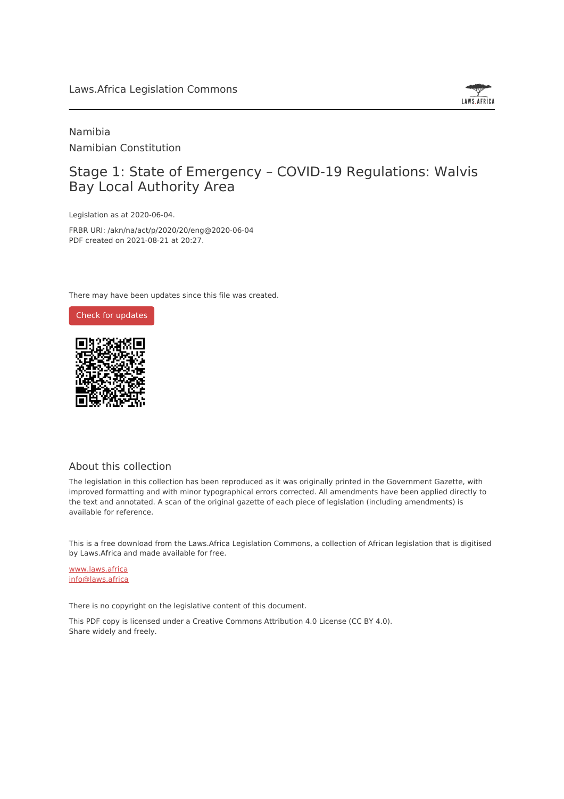

Namibia Namibian Constitution

# Stage 1: State of Emergency – COVID-19 Regulations: Walvis Bay Local Authority Area

Legislation as at 2020-06-04.

FRBR URI: /akn/na/act/p/2020/20/eng@2020-06-04 PDF created on 2021-08-21 at 20:27.

There may have been updates since this file was created.



#### About this collection

The legislation in this collection has been reproduced as it was originally printed in the Government Gazette, with improved formatting and with minor typographical errors corrected. All amendments have been applied directly to the text and annotated. A scan of the original gazette of each piece of legislation (including amendments) is available for reference.

This is a free download from the Laws.Africa Legislation Commons, a collection of African legislation that is digitised by Laws.Africa and made available for free.

[www.laws.africa](https://www.laws.africa) [info@laws.africa](mailto:info@laws.africa)

There is no copyright on the legislative content of this document.

This PDF copy is licensed under a Creative Commons Attribution 4.0 License (CC BY 4.0). Share widely and freely.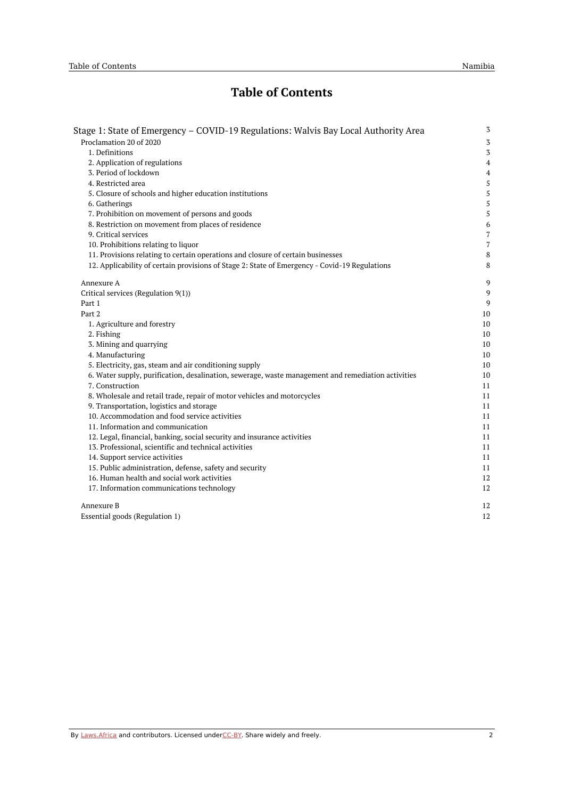# **Table of Contents**

| Stage 1: State of Emergency – COVID-19 Regulations: Walvis Bay Local Authority Area                | 3              |
|----------------------------------------------------------------------------------------------------|----------------|
| Proclamation 20 of 2020                                                                            | $\sqrt{3}$     |
| 1. Definitions                                                                                     | $\mathbf 3$    |
| 2. Application of regulations                                                                      | $\overline{4}$ |
| 3. Period of lockdown                                                                              | $\overline{4}$ |
| 4. Restricted area                                                                                 | 5              |
| 5. Closure of schools and higher education institutions                                            | $\mathsf S$    |
| 6. Gatherings                                                                                      | 5              |
| 7. Prohibition on movement of persons and goods                                                    | 5              |
| 8. Restriction on movement from places of residence                                                | 6              |
| 9. Critical services                                                                               | 7              |
| 10. Prohibitions relating to liquor                                                                | $\overline{7}$ |
| 11. Provisions relating to certain operations and closure of certain businesses                    | $\,8\,$        |
| 12. Applicability of certain provisions of Stage 2: State of Emergency - Covid-19 Regulations      | 8              |
| Annexure A                                                                                         | 9              |
| Critical services (Regulation 9(1))                                                                | 9              |
| Part 1                                                                                             | 9              |
| Part 2                                                                                             | 10             |
| 1. Agriculture and forestry                                                                        | 10             |
| 2. Fishing                                                                                         | 10             |
| 3. Mining and quarrying                                                                            | 10             |
| 4. Manufacturing                                                                                   | 10             |
| 5. Electricity, gas, steam and air conditioning supply                                             | 10             |
| 6. Water supply, purification, desalination, sewerage, waste management and remediation activities | 10             |
| 7. Construction                                                                                    | 11             |
| 8. Wholesale and retail trade, repair of motor vehicles and motorcycles                            | 11             |
| 9. Transportation, logistics and storage                                                           | 11             |
| 10. Accommodation and food service activities                                                      | 11             |
| 11. Information and communication                                                                  | 11             |
| 12. Legal, financial, banking, social security and insurance activities                            | 11             |
| 13. Professional, scientific and technical activities                                              | 11             |
| 14. Support service activities                                                                     | 11             |
| 15. Public administration, defense, safety and security                                            | 11             |
| 16. Human health and social work activities                                                        | 12             |
| 17. Information communications technology                                                          | 12             |
| Annexure B                                                                                         | 12             |
| Essential goods (Regulation 1)                                                                     | 12             |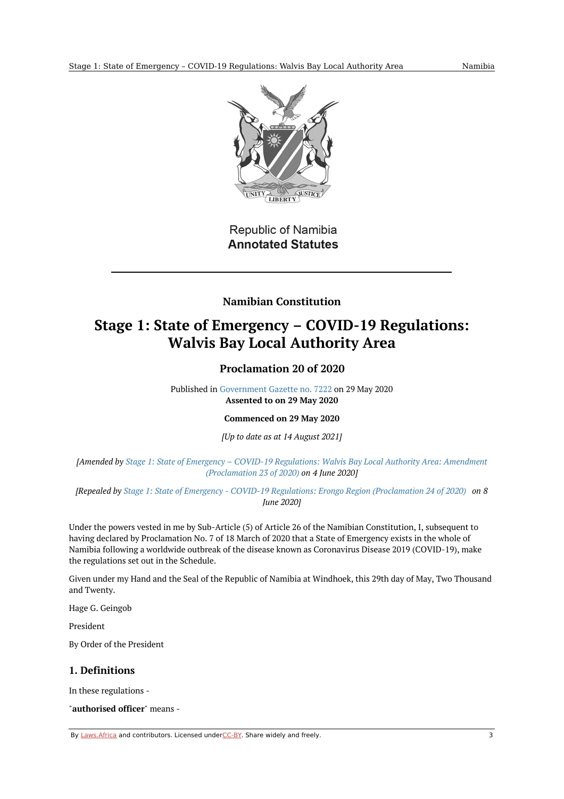

**Republic of Namibia Annotated Statutes** 

# **Namibian Constitution**

# <span id="page-2-1"></span><span id="page-2-0"></span>**Stage 1: State of Emergency – COVID-19 Regulations: Walvis Bay Local Authority Area**

# **Proclamation 20 of 2020**

Published in [Government](https://commons.laws.africa/akn/na/act/p/2020/20/media/publication/na-act-p-2020-20-publication-document.pdf) Gazette no. 7222 on 29 May 2020 **Assented to on 29 May 2020**

**Commenced on 29 May 2020**

*[Up to date as at 14 August 2021]*

*[Amended by Stage 1: State of Emergency – COVID-19 Regulations: Walvis Bay Local Authority Area: Amendment [\(Proclamation](https://africanlii.org/akn/na/act/p/2020/23) 23 of 2020) on 4 June 2020]*

[Repealed by Stage 1: State of Emergency - COVID-19 Regulations: Erongo Region [\(Proclamation](https://africanlii.org/akn/na/act/p/2020/24) 24 of 2020) on 8 *June 2020]*

Under the powers vested in me by Sub-Article (5) of Article 26 of the Namibian Constitution, I, subsequent to having declared by Proclamation No. 7 of 18 March of 2020 that a State of Emergency exists in the whole of Namibia following a worldwide outbreak of the disease known as Coronavirus Disease 2019 (COVID-19), make the regulations set out in the Schedule.

Given under my Hand and the Seal of the Republic of Namibia at Windhoek, this 29th day of May, Two Thousand and Twenty.

Hage G. Geingob

President

By Order of the President

#### <span id="page-2-2"></span>**1. Definitions**

In these regulations -

"**authorised officer**" means -

By [Laws.Africa](https://edit.laws.africa/widgets/pdf-attribution) and contributors. Licensed und[erCC-B](https://edit.laws.africa/widgets/pdf-cc-by)Y. Share widely and freely. 3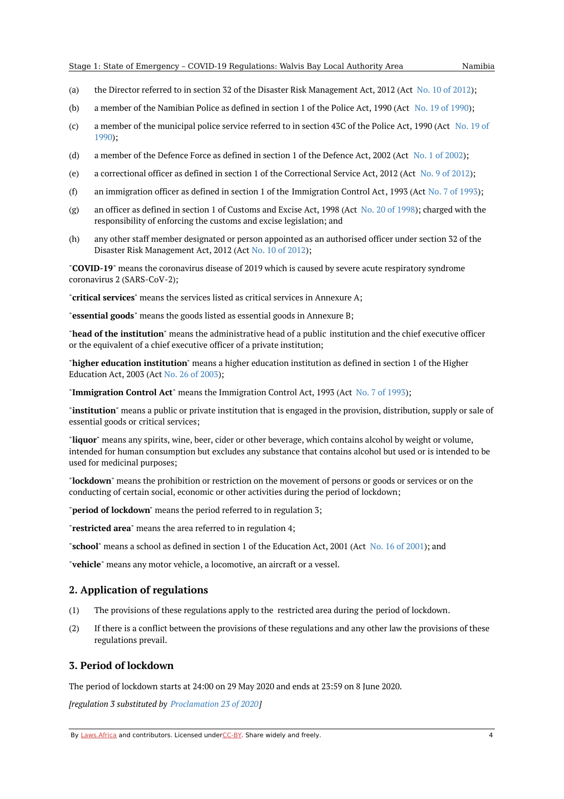- (a) the Director referred to in section 32 of the Disaster Risk Management Act, [2012](https://africanlii.org/akn/na/act/2012/10) (Act No. 10 of 2012);
- (b) a member of the Namibian Police as defined in section 1 of the Police Act, 1990 (Act No. 19 of [1990](https://africanlii.org/akn/na/act/1990/19));
- (c) a member of the [municipal](https://africanlii.org/akn/na/act/1990/19) police service referred to in section 43C of the Police Act, 1990 (Act No. 19 of 1990);
- (d) a member of the Defence Force as defined in section 1 of the Defence Act, 2002 (Act No. 1 of [2002](https://africanlii.org/akn/na/act/2002/1));
- $(\rho)$ a correctional officer as defined in section 1 of the Correctional Service Act, 2012 (Act No. 9 of [2012](https://africanlii.org/akn/na/act/2012/9));
- (f) an immigration officer as defined in section 1 of the Immigration Control Act, [1993](https://africanlii.org/akn/na/act/1993/7) (Act No. 7 of 1993);
- (g) an officer as defined in section 1 of Customs and Excise Act, 1998 (Act No. 20 of [1998](https://africanlii.org/akn/na/act/1998/20)); charged with the responsibility of enforcing the customs and excise legislation; and
- (h) any other staff member designated or person appointed as an authorised officer under section 32 of the Disaster Risk Management Act, 2012 (Act No. 10 of [2012](https://africanlii.org/akn/na/act/2012/10));

"**COVID-19**" means the coronavirus disease of 2019 which is caused by severe acute respiratory syndrome coronavirus 2 (SARS-CoV-2);

"**critical services**" means the services listed as critical services in Annexure A;

"**essential goods**" means the goods listed as essential goods in Annexure B;

"**head of the institution**" means the administrative head of a public institution and the chief executive officer or the equivalent of a chief executive officer of a private institution;

"**higher education institution**" means a higher education institution as defined in section 1 of the Higher Education Act, 2003 (Act No. 26 of [2003](https://africanlii.org/akn/na/act/2003/26));

"**Immigration Control Act**" means the Immigration Control Act, 1993 (Act No. 7 of [1993](https://africanlii.org/akn/na/act/1993/7));

"**institution**" means a public or private institution that is engaged in the provision, distribution, supply or sale of essential goods or critical services;

"**liquor**" means any spirits, wine, beer, cider or other beverage, which contains alcohol by weight or volume, intended for human consumption but excludes any substance that contains alcohol but used or is intended to be used for medicinal purposes;

"**lockdown**" means the prohibition or restriction on the movement of persons or goods or services or on the conducting of certain social, economic or other activities during the period of lockdown;

"**period of lockdown**" means the period referred to in regulation 3;

"**restricted area**" means the area referred to in regulation 4;

"**school**" means a school as defined in section 1 of the Education Act, 2001 (Act No. 16 of [2001](https://africanlii.org/akn/na/act/2001/16)); and

"**vehicle**" means any motor vehicle, a locomotive, an aircraft or a vessel.

#### <span id="page-3-0"></span>**2. Application of regulations**

- $(1)$ The provisions of these regulations apply to the restricted area during the period of lockdown.
- (2) If there is a conflict between the provisions of these regulations and any other law the provisions of these regulations prevail.

#### <span id="page-3-1"></span>**3. Period of lockdown**

The period of lockdown starts at 24:00 on 29 May 2020 and ends at 23:59 on 8 June 2020.

*[regulation 3 substituted by [Proclamation](https://africanlii.org/akn/na/act/p/2020/23) 23 of 2020]*

By [Laws.Africa](https://edit.laws.africa/widgets/pdf-attribution) and contributors. Licensed und[erCC-B](https://edit.laws.africa/widgets/pdf-cc-by)Y. Share widely and freely. 4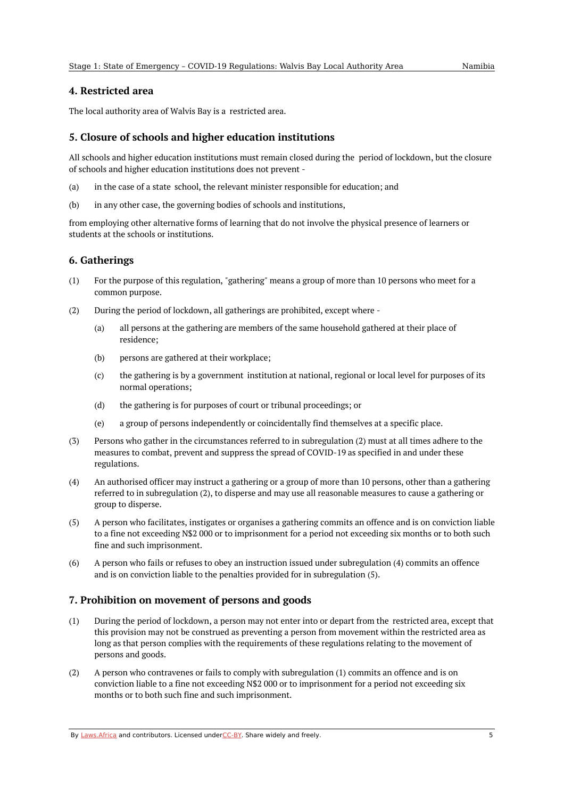#### <span id="page-4-0"></span>**4. Restricted area**

The local authority area of Walvis Bay is a restricted area.

#### <span id="page-4-1"></span>**5. Closure of schools and higher education institutions**

All schools and higher education institutions must remain closed during the period of lockdown, but the closure of schools and higher education institutions does not prevent -

- (a) in the case of a state school, the relevant minister responsible for education; and
- (b) in any other case, the governing bodies of schools and institutions,

from employing other alternative forms of learning that do not involve the physical presence of learners or students at the schools or institutions.

#### <span id="page-4-2"></span>**6. Gatherings**

- (1) For the purpose of this regulation, "gathering" means a group of more than 10 persons who meet for a common purpose.
- (2) During the period of lockdown, all gatherings are prohibited, except where -
	- (a) all persons at the gathering are members of the same household gathered at their place of residence;
	- (b) persons are gathered at their workplace;
	- $(c)$ the gathering is by a government institution at national, regional or local level for purposes of its normal operations;
	- (d) the gathering is for purposes of court or tribunal proceedings; or
	- (e) a group of persons independently or coincidentally find themselves at a specific place.
- (3) Persons who gather in the circumstances referred to in subregulation (2) must at all times adhere to the measures to combat, prevent and suppress the spread of COVID-19 as specified in and under these regulations.
- (4) An authorised officer may instruct a gathering or a group of more than 10 persons, other than a gathering referred to in subregulation (2), to disperse and may use all reasonable measures to cause a gathering or group to disperse.
- (5) A person who facilitates, instigates or organises a gathering commits an offence and is on conviction liable to a fine not exceeding N\$2 000 or to imprisonment for a period not exceeding six months or to both such fine and such imprisonment.
- (6) A person who fails or refuses to obey an instruction issued under subregulation (4) commits an offence and is on conviction liable to the penalties provided for in subregulation (5).

# <span id="page-4-3"></span>**7. Prohibition on movement of persons and goods**

- (1) During the period of lockdown, a person may not enter into or depart from the restricted area, except that this provision may not be construed as preventing a person from movement within the restricted area as long as that person complies with the requirements of these regulations relating to the movement of persons and goods.
- (2) A person who contravenes or fails to comply with subregulation (1) commits an offence and is on conviction liable to a fine not exceeding N\$2 000 or to imprisonment for a period not exceeding six months or to both such fine and such imprisonment.

By [Laws.Africa](https://edit.laws.africa/widgets/pdf-attribution) and contributors. Licensed und[erCC-B](https://edit.laws.africa/widgets/pdf-cc-by)Y. Share widely and freely.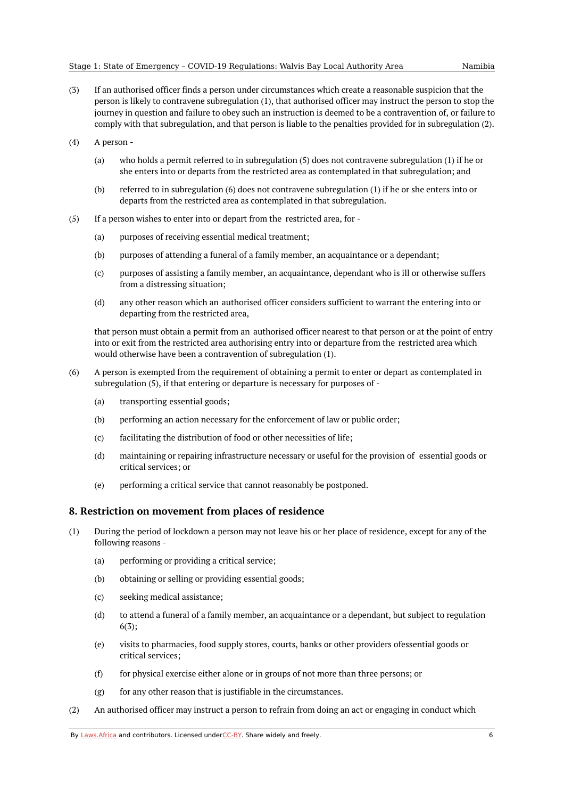- (3) If an authorised officer finds a person under circumstances which create a reasonable suspicion that the person is likely to contravene subregulation (1), that authorised officer may instruct the person to stop the journey in question and failure to obey such an instruction is deemed to be a contravention of, or failure to comply with that subregulation, and that person is liable to the penalties provided for in subregulation (2).
- (4) A person -
	- (a) who holds a permit referred to in subregulation (5) does not contravene subregulation (1) if he or she enters into or departs from the restricted area as contemplated in that subregulation; and
	- (b) referred to in subregulation (6) does not contravene subregulation (1) if he or she enters into or departs from the restricted area as contemplated in that subregulation.
- (5) If a person wishes to enter into or depart from the restricted area, for -
	- (a) purposes of receiving essential medical treatment;
	- (b) purposes of attending a funeral of a family member, an acquaintance or a dependant;
	- (c) purposes of assisting a family member, an acquaintance, dependant who is ill or otherwise suffers from a distressing situation;
	- (d) any other reason which an authorised officer considers sufficient to warrant the entering into or departing from the restricted area,

that person must obtain a permit from an authorised officer nearest to that person or at the point of entry into or exit from the restricted area authorising entry into or departure from the restricted area which would otherwise have been a contravention of subregulation (1).

- (6) A person is exempted from the requirement of obtaining a permit to enter or depart as contemplated in subregulation (5), if that entering or departure is necessary for purposes of -
	- (a) transporting essential goods;
	- (b) performing an action necessary for the enforcement of law or public order;
	- (c) facilitating the distribution of food or other necessities of life;
	- (d) maintaining or repairing infrastructure necessary or useful for the provision of essential goods or critical services; or
	- (e) performing a critical service that cannot reasonably be postponed.

#### <span id="page-5-0"></span>**8. Restriction on movement from places of residence**

- (1) During the period of lockdown a person may not leave his or her place of residence, except for any of the following reasons -
	- (a) performing or providing a critical service;
	- (b) obtaining or selling or providing essential goods;
	- (c) seeking medical assistance;
	- (d) to attend a funeral of a family member, an acquaintance or a dependant, but subject to regulation 6(3);
	- (e) visits to pharmacies, food supply stores, courts, banks or other providers ofessential goods or critical services;
	- (f) for physical exercise either alone or in groups of not more than three persons; or
	- (g) for any other reason that is justifiable in the circumstances.
- (2) An authorised officer may instruct a person to refrain from doing an act or engaging in conduct which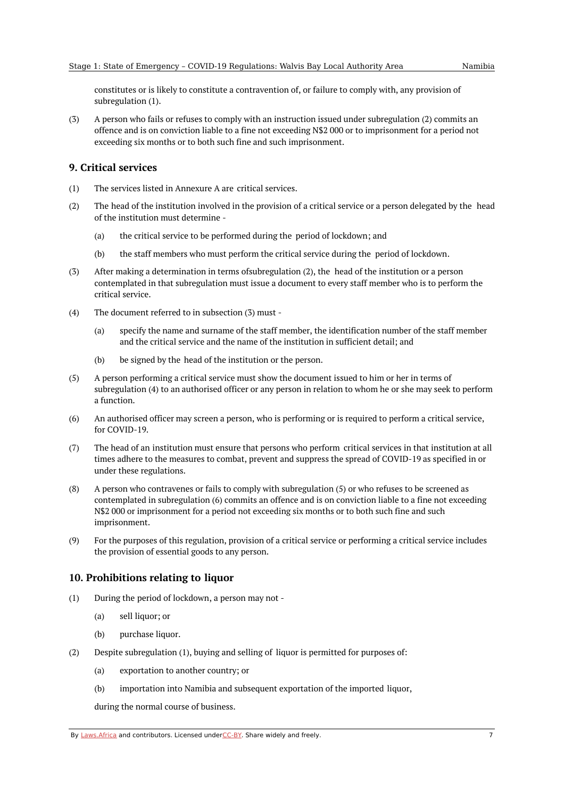constitutes or is likely to constitute a contravention of, or failure to comply with, any provision of subregulation (1).

(3) A person who fails or refuses to comply with an instruction issued under subregulation (2) commits an offence and is on conviction liable to a fine not exceeding N\$2 000 or to imprisonment for a period not exceeding six months or to both such fine and such imprisonment.

#### <span id="page-6-0"></span>**9. Critical services**

- (1) The services listed in Annexure A are critical services.
- (2) The head of the institution involved in the provision of a critical service or a person delegated by the head of the institution must determine -
	- (a) the critical service to be performed during the period of lockdown; and
	- (b) the staff members who must perform the critical service during the period of lockdown.
- (3) After making a determination in terms ofsubregulation (2), the head of the institution or a person contemplated in that subregulation must issue a document to every staff member who is to perform the critical service.
- (4) The document referred to in subsection (3) must -
	- (a) specify the name and surname of the staff member, the identification number of the staff member and the critical service and the name of the institution in sufficient detail; and
	- (b) be signed by the head of the institution or the person.
- (5) A person performing a critical service must show the document issued to him or her in terms of subregulation (4) to an authorised officer or any person in relation to whom he or she may seek to perform a function.
- (6) An authorised officer may screen a person, who is performing or is required to perform a critical service, for COVID-19.
- (7) The head of an institution must ensure that persons who perform critical services in that institution at all times adhere to the measures to combat, prevent and suppress the spread of COVID-19 as specified in or under these regulations.
- (8) A person who contravenes or fails to comply with subregulation (5) or who refuses to be screened as contemplated in subregulation (6) commits an offence and is on conviction liable to a fine not exceeding N\$2 000 or imprisonment for a period not exceeding six months or to both such fine and such imprisonment.
- (9) For the purposes of this regulation, provision of a critical service or performing a critical service includes the provision of essential goods to any person.

#### <span id="page-6-1"></span>**10. Prohibitions relating to liquor**

- (1) During the period of lockdown, a person may not -
	- (a) sell liquor; or
	- (b) purchase liquor.
- (2) Despite subregulation (1), buying and selling of liquor is permitted for purposes of:
	- (a) exportation to another country; or
	- (b) importation into Namibia and subsequent exportation of the imported liquor,

during the normal course of business.

By [Laws.Africa](https://edit.laws.africa/widgets/pdf-attribution) and contributors. Licensed und[erCC-B](https://edit.laws.africa/widgets/pdf-cc-by)Y. Share widely and freely. 7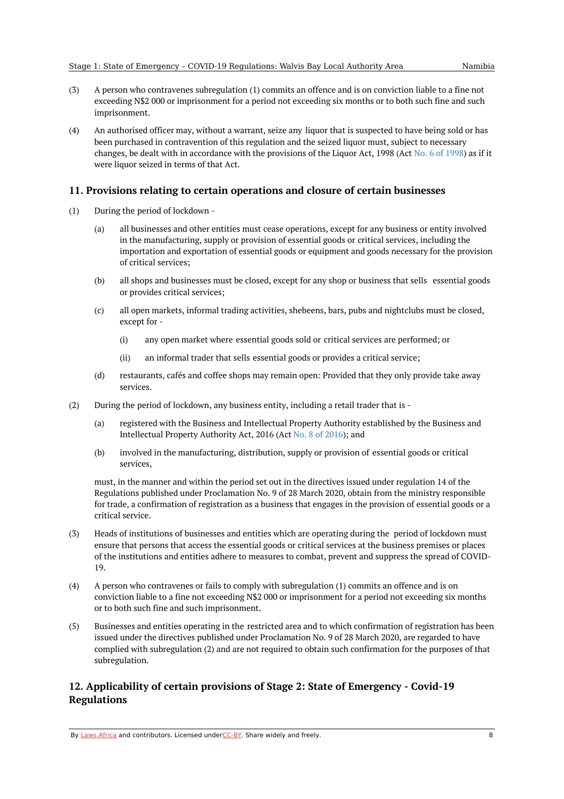- (3) A person who contravenes subregulation (1) commits an offence and is on conviction liable to a fine not exceeding N\$2 000 or imprisonment for a period not exceeding six months or to both such fine and such imprisonment.
- (4) An authorised officer may, without a warrant, seize any liquor that is suspected to have being sold or has been purchased in contravention of this regulation and the seized liquor must, subject to necessary changes, be dealt with in accordance with the provisions of the Liquor Act, 1998 (Act No. 6 of [1998](https://africanlii.org/akn/na/act/1998/6)) as if it were liquor seized in terms of that Act.

#### <span id="page-7-0"></span>**11. Provisions relating to certain operations and closure of certain businesses**

- (1) During the period of lockdown -
	- (a) all businesses and other entities must cease operations, except for any business or entity involved in the manufacturing, supply or provision of essential goods or critical services, including the importation and exportation of essential goods or equipment and goods necessary for the provision of critical services;
	- (b) all shops and businesses must be closed, except for any shop or business that sells essential goods or provides critical services;
	- (c) all open markets, informal trading activities, shebeens, bars, pubs and nightclubs must be closed, except for -
		- (i) any open market where essential goods sold or critical services are performed; or
		- (ii) an informal trader that sells essential goods or provides a critical service;
	- (d) restaurants, cafés and coffee shops may remain open: Provided that they only provide take away services.
- (2) During the period of lockdown, any business entity, including a retail trader that is -
	- (a) registered with the Business and Intellectual Property Authority established by the Business and Intellectual Property Authority Act, 2016 (Act No. 8 of [2016](https://africanlii.org/akn/na/act/2016/8)); and
	- (b) involved in the manufacturing, distribution, supply or provision of essential goods or critical services,

must, in the manner and within the period set out in the directives issued under regulation 14 of the Regulations published under Proclamation No. 9 of 28 March 2020, obtain from the ministry responsible for trade, a confirmation of registration as a business that engages in the provision of essential goods or a critical service.

- (3) Heads of institutions of businesses and entities which are operating during the period of lockdown must ensure that persons that access the essential goods or critical services at the business premises or places of the institutions and entities adhere to measures to combat, prevent and suppress the spread of COVID-19.
- (4) A person who contravenes or fails to comply with subregulation (1) commits an offence and is on conviction liable to a fine not exceeding N\$2 000 or imprisonment for a period not exceeding six months or to both such fine and such imprisonment.
- (5) Businesses and entities operating in the restricted area and to which confirmation of registration has been issued under the directives published under Proclamation No. 9 of 28 March 2020, are regarded to have complied with subregulation (2) and are not required to obtain such confirmation for the purposes of that subregulation.

### <span id="page-7-1"></span>**12. Applicability of certain provisions of Stage 2: State of Emergency - Covid-19 Regulations**

By [Laws.Africa](https://edit.laws.africa/widgets/pdf-attribution) and contributors. Licensed und[erCC-B](https://edit.laws.africa/widgets/pdf-cc-by)Y. Share widely and freely. **8** 8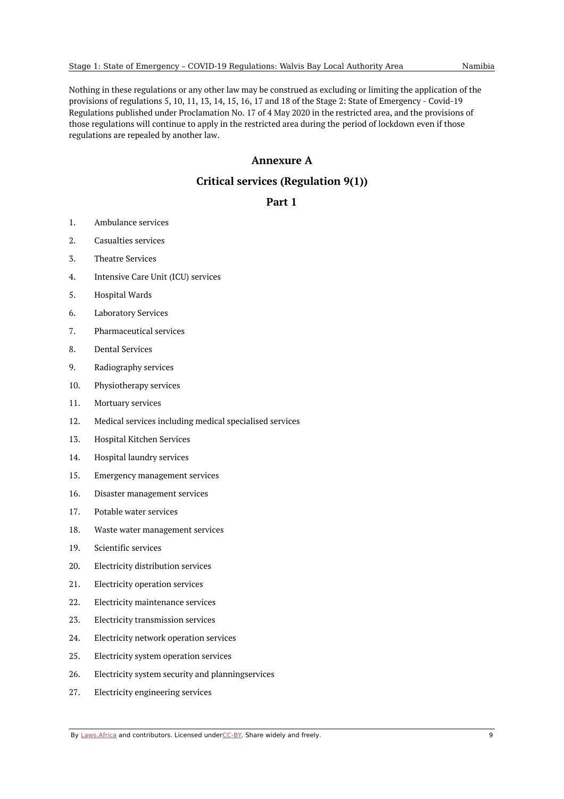Nothing in these regulations or any other law may be construed as excluding or limiting the application of the provisions of regulations 5, 10, 11, 13, 14, 15, 16, 17 and 18 of the Stage 2: State of Emergency - Covid-19 Regulations published under Proclamation No. 17 of 4 May 2020 in the restricted area, and the provisions of those regulations will continue to apply in the restricted area during the period of lockdown even if those regulations are repealed by another law.

### **Annexure A**

# **Critical services (Regulation 9(1))**

#### **Part 1**

- <span id="page-8-2"></span><span id="page-8-1"></span><span id="page-8-0"></span>1. Ambulance services
- 2. Casualties services
- 3. Theatre Services
- 4. Intensive Care Unit (ICU) services
- 5. Hospital Wards
- 6. Laboratory Services
- 7. Pharmaceutical services
- 8. Dental Services
- 9. Radiography services
- 10. Physiotherapy services
- 11. Mortuary services
- 12. Medical services including medical specialised services
- 13. Hospital Kitchen Services
- 14. Hospital laundry services
- 15. Emergency management services
- 16. Disaster management services
- 17. Potable water services
- 18. Waste water management services
- 19. Scientific services
- 20. Electricity distribution services
- 21. Electricity operation services
- 22. Electricity maintenance services
- 23. Electricity transmission services
- 24. Electricity network operation services
- 25. Electricity system operation services
- 26. Electricity system security and planningservices
- 27. Electricity engineering services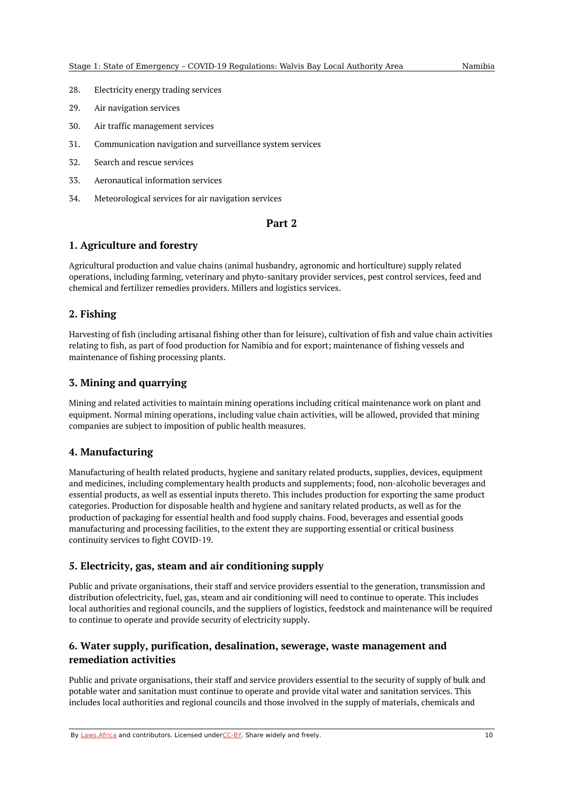- 28. Electricity energy trading services
- 29. Air navigation services
- 30. Air traffic management services
- 31. Communication navigation and surveillance system services
- 32. Search and rescue services
- 33. Aeronautical information services
- 34. Meteorological services for air navigation services

#### **Part 2**

#### <span id="page-9-1"></span><span id="page-9-0"></span>**1. Agriculture and forestry**

Agricultural production and value chains (animal husbandry, agronomic and horticulture) supply related operations, including farming, veterinary and phyto-sanitary provider services, pest control services, feed and chemical and fertilizer remedies providers. Millers and logistics services.

#### <span id="page-9-2"></span>**2. Fishing**

Harvesting of fish (including artisanal fishing other than for leisure), cultivation of fish and value chain activities relating to fish, as part of food production for Namibia and for export; maintenance of fishing vessels and maintenance of fishing processing plants.

#### <span id="page-9-3"></span>**3. Mining and quarrying**

Mining and related activities to maintain mining operations including critical maintenance work on plant and equipment. Normal mining operations, including value chain activities, will be allowed, provided that mining companies are subject to imposition of public health measures.

#### <span id="page-9-4"></span>**4. Manufacturing**

Manufacturing of health related products, hygiene and sanitary related products, supplies, devices, equipment and medicines, including complementary health products and supplements; food, non-alcoholic beverages and essential products, as well as essential inputs thereto. This includes production for exporting the same product categories. Production for disposable health and hygiene and sanitary related products, as well as for the production of packaging for essential health and food supply chains. Food, beverages and essential goods manufacturing and processing facilities, to the extent they are supporting essential or critical business continuity services to fight COVID-19.

#### <span id="page-9-5"></span>**5. Electricity, gas, steam and air conditioning supply**

Public and private organisations, their staff and service providers essential to the generation, transmission and distribution ofelectricity, fuel, gas, steam and air conditioning will need to continue to operate. This includes local authorities and regional councils, and the suppliers of logistics, feedstock and maintenance will be required to continue to operate and provide security of electricity supply.

### <span id="page-9-6"></span>**6. Water supply, purification, desalination, sewerage, waste management and remediation activities**

Public and private organisations, their staff and service providers essential to the security of supply of bulk and potable water and sanitation must continue to operate and provide vital water and sanitation services. This includes local authorities and regional councils and those involved in the supply of materials, chemicals and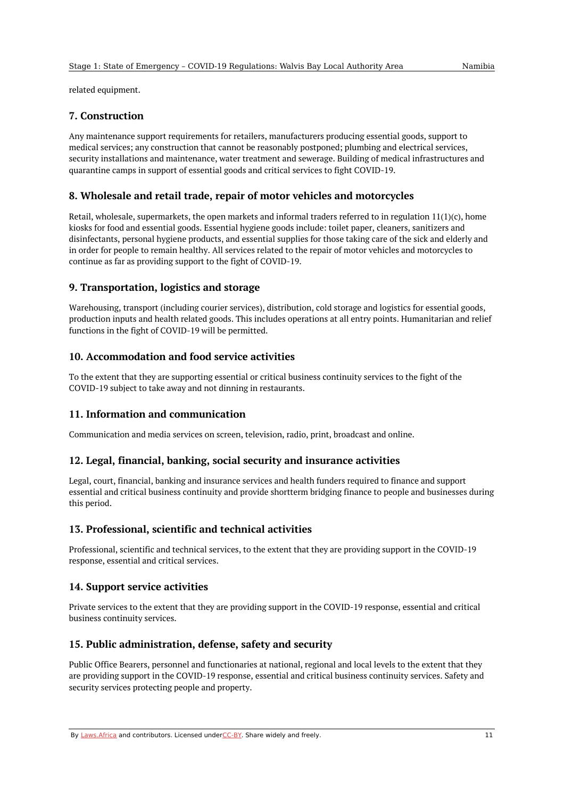related equipment.

#### <span id="page-10-0"></span>**7. Construction**

Any maintenance support requirements for retailers, manufacturers producing essential goods, support to medical services; any construction that cannot be reasonably postponed; plumbing and electrical services, security installations and maintenance, water treatment and sewerage. Building of medical infrastructures and quarantine camps in support of essential goods and critical services to fight COVID-19.

#### <span id="page-10-1"></span>**8. Wholesale and retail trade, repair of motor vehicles and motorcycles**

Retail, wholesale, supermarkets, the open markets and informal traders referred to in regulation  $11(1)(c)$ , home kiosks for food and essential goods. Essential hygiene goods include: toilet paper, cleaners, sanitizers and disinfectants, personal hygiene products, and essential supplies for those taking care of the sick and elderly and in order for people to remain healthy. All services related to the repair of motor vehicles and motorcycles to continue as far as providing support to the fight of COVID-19.

#### <span id="page-10-2"></span>**9. Transportation, logistics and storage**

Warehousing, transport (including courier services), distribution, cold storage and logistics for essential goods, production inputs and health related goods. This includes operations at all entry points. Humanitarian and relief functions in the fight of COVID-19 will be permitted.

#### <span id="page-10-3"></span>**10. Accommodation and food service activities**

To the extent that they are supporting essential or critical business continuity services to the fight of the COVID-19 subject to take away and not dinning in restaurants.

#### <span id="page-10-4"></span>**11. Information and communication**

Communication and media services on screen, television, radio, print, broadcast and online.

#### <span id="page-10-5"></span>**12. Legal, financial, banking, social security and insurance activities**

Legal, court, financial, banking and insurance services and health funders required to finance and support essential and critical business continuity and provide shortterm bridging finance to people and businesses during this period.

#### <span id="page-10-6"></span>**13. Professional, scientific and technical activities**

Professional, scientific and technical services, to the extent that they are providing support in the COVID-19 response, essential and critical services.

#### <span id="page-10-7"></span>**14. Support service activities**

Private services to the extent that they are providing support in the COVID-19 response, essential and critical business continuity services.

#### <span id="page-10-8"></span>**15. Public administration, defense, safety and security**

Public Office Bearers, personnel and functionaries at national, regional and local levels to the extent that they are providing support in the COVID-19 response, essential and critical business continuity services. Safety and security services protecting people and property.

By [Laws.Africa](https://edit.laws.africa/widgets/pdf-attribution) and contributors. Licensed und[erCC-B](https://edit.laws.africa/widgets/pdf-cc-by)Y. Share widely and freely. 11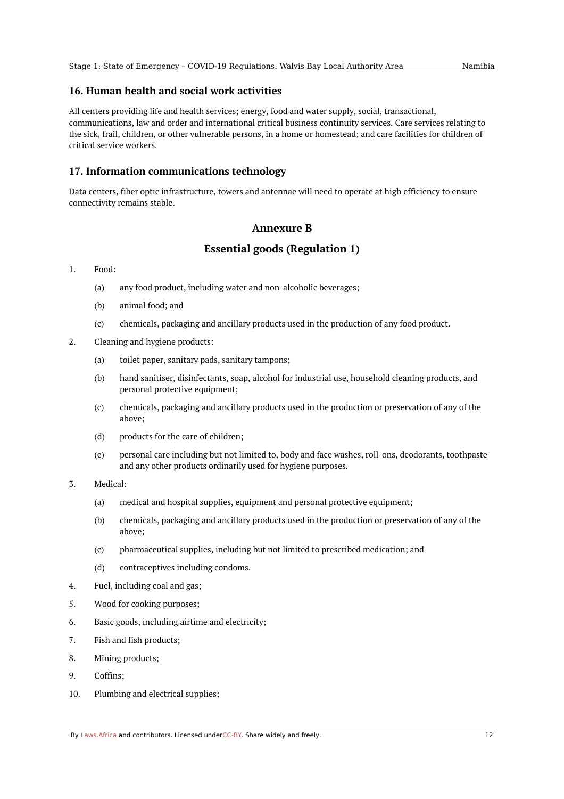#### <span id="page-11-0"></span>**16. Human health and social work activities**

All centers providing life and health services; energy, food and water supply, social, transactional, communications, law and order and international critical business continuity services. Care services relating to the sick, frail, children, or other vulnerable persons, in a home or homestead; and care facilities for children of critical service workers.

#### <span id="page-11-1"></span>**17. Information communications technology**

<span id="page-11-2"></span>Data centers, fiber optic infrastructure, towers and antennae will need to operate at high efficiency to ensure connectivity remains stable.

#### **Annexure B**

### **Essential goods (Regulation 1)**

#### <span id="page-11-3"></span>1. Food:

- (a) any food product, including water and non-alcoholic beverages;
- (b) animal food; and
- (c) chemicals, packaging and ancillary products used in the production of any food product.
- 2. Cleaning and hygiene products:
	- (a) toilet paper, sanitary pads, sanitary tampons;
	- (b) hand sanitiser, disinfectants, soap, alcohol for industrial use, household cleaning products, and personal protective equipment;
	- (c) chemicals, packaging and ancillary products used in the production or preservation of any of the above;
	- (d) products for the care of children;
	- (e) personal care including but not limited to, body and face washes, roll-ons, deodorants, toothpaste and any other products ordinarily used for hygiene purposes.
- 3. Medical:
	- (a) medical and hospital supplies, equipment and personal protective equipment;
	- (b) chemicals, packaging and ancillary products used in the production or preservation of any of the above;
	- (c) pharmaceutical supplies, including but not limited to prescribed medication; and
	- (d) contraceptives including condoms.
- 4. Fuel, including coal and gas;
- 5. Wood for cooking purposes;
- 6. Basic goods, including airtime and electricity;
- 7. Fish and fish products;
- 8. Mining products;
- 9. Coffins;
- 10. Plumbing and electrical supplies;